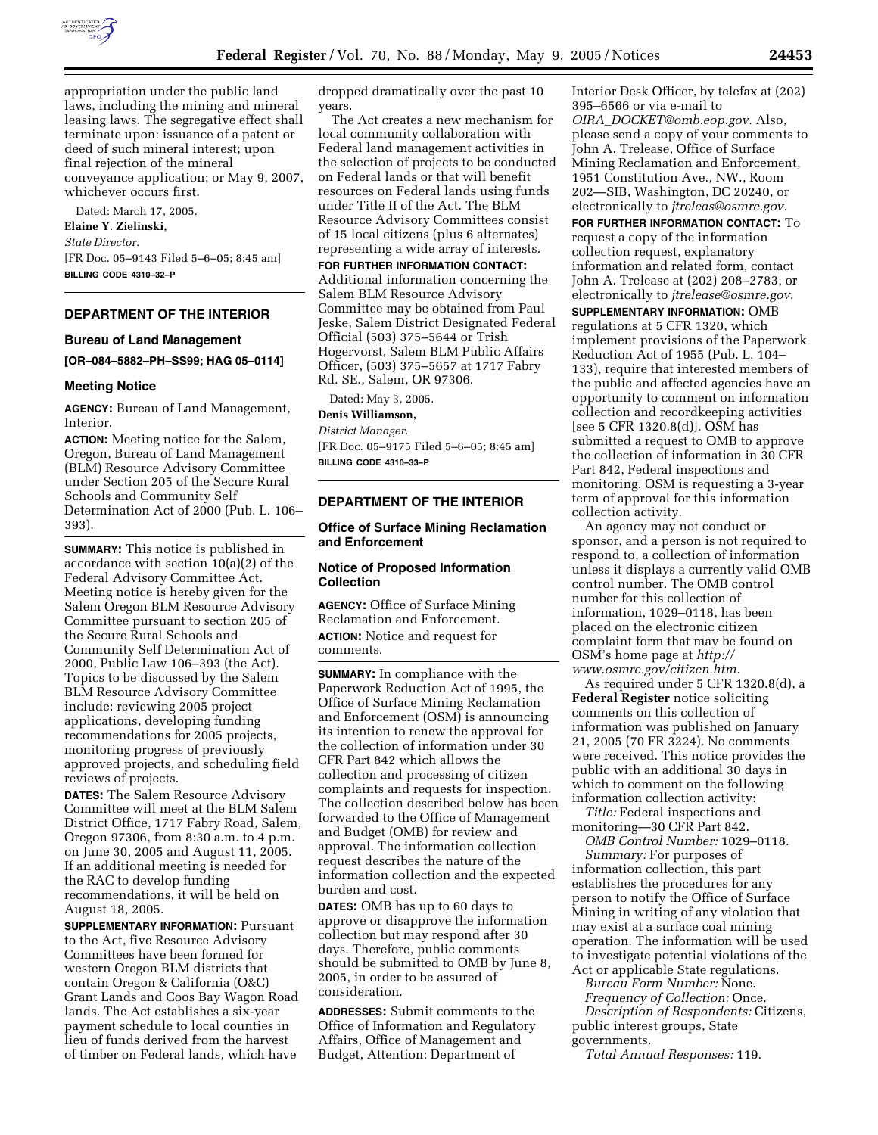

appropriation under the public land laws, including the mining and mineral leasing laws. The segregative effect shall terminate upon: issuance of a patent or deed of such mineral interest; upon final rejection of the mineral conveyance application; or May 9, 2007, whichever occurs first.

Dated: March 17, 2005.

#### **Elaine Y. Zielinski,**

*State Director.*

[FR Doc. 05–9143 Filed 5–6–05; 8:45 am] **BILLING CODE 4310–32–P**

# **DEPARTMENT OF THE INTERIOR**

#### **Bureau of Land Management**

```
[OR–084–5882–PH–SS99; HAG 05–0114]
```
#### **Meeting Notice**

**AGENCY:** Bureau of Land Management, Interior.

**ACTION:** Meeting notice for the Salem, Oregon, Bureau of Land Management (BLM) Resource Advisory Committee under Section 205 of the Secure Rural Schools and Community Self Determination Act of 2000 (Pub. L. 106– 393).

**SUMMARY:** This notice is published in accordance with section 10(a)(2) of the Federal Advisory Committee Act. Meeting notice is hereby given for the Salem Oregon BLM Resource Advisory Committee pursuant to section 205 of the Secure Rural Schools and Community Self Determination Act of 2000, Public Law 106–393 (the Act). Topics to be discussed by the Salem BLM Resource Advisory Committee include: reviewing 2005 project applications, developing funding recommendations for 2005 projects, monitoring progress of previously approved projects, and scheduling field reviews of projects.

**DATES:** The Salem Resource Advisory Committee will meet at the BLM Salem District Office, 1717 Fabry Road, Salem, Oregon 97306, from 8:30 a.m. to 4 p.m. on June 30, 2005 and August 11, 2005. If an additional meeting is needed for the RAC to develop funding recommendations, it will be held on August 18, 2005.

**SUPPLEMENTARY INFORMATION:** Pursuant to the Act, five Resource Advisory Committees have been formed for western Oregon BLM districts that contain Oregon & California (O&C) Grant Lands and Coos Bay Wagon Road lands. The Act establishes a six-year payment schedule to local counties in lieu of funds derived from the harvest of timber on Federal lands, which have

dropped dramatically over the past 10 years.

The Act creates a new mechanism for local community collaboration with Federal land management activities in the selection of projects to be conducted on Federal lands or that will benefit resources on Federal lands using funds under Title II of the Act. The BLM Resource Advisory Committees consist of 15 local citizens (plus 6 alternates) representing a wide array of interests.

**FOR FURTHER INFORMATION CONTACT:** Additional information concerning the Salem BLM Resource Advisory Committee may be obtained from Paul Jeske, Salem District Designated Federal Official (503) 375–5644 or Trish Hogervorst, Salem BLM Public Affairs Officer, (503) 375–5657 at 1717 Fabry Rd. SE., Salem, OR 97306.

# Dated: May 3, 2005.

**Denis Williamson,** 

*District Manager.*

[FR Doc. 05–9175 Filed 5–6–05; 8:45 am] **BILLING CODE 4310–33–P**

#### **DEPARTMENT OF THE INTERIOR**

### **Office of Surface Mining Reclamation and Enforcement**

# **Notice of Proposed Information Collection**

**AGENCY:** Office of Surface Mining Reclamation and Enforcement. **ACTION:** Notice and request for comments.

**SUMMARY:** In compliance with the Paperwork Reduction Act of 1995, the Office of Surface Mining Reclamation and Enforcement (OSM) is announcing its intention to renew the approval for the collection of information under 30 CFR Part 842 which allows the collection and processing of citizen complaints and requests for inspection. The collection described below has been forwarded to the Office of Management and Budget (OMB) for review and approval. The information collection request describes the nature of the information collection and the expected burden and cost.

**DATES:** OMB has up to 60 days to approve or disapprove the information collection but may respond after 30 days. Therefore, public comments should be submitted to OMB by June 8, 2005, in order to be assured of consideration.

**ADDRESSES:** Submit comments to the Office of Information and Regulatory Affairs, Office of Management and Budget, Attention: Department of

Interior Desk Officer, by telefax at (202) 395–6566 or via e-mail to *OIRA*\_*DOCKET@omb.eop.gov.* Also, please send a copy of your comments to John A. Trelease, Office of Surface Mining Reclamation and Enforcement, 1951 Constitution Ave., NW., Room 202—SIB, Washington, DC 20240, or electronically to *jtreleas@osmre.gov.*

**FOR FURTHER INFORMATION CONTACT:** To request a copy of the information collection request, explanatory information and related form, contact John A. Trelease at (202) 208–2783, or electronically to *jtrelease@osmre.gov.*

**SUPPLEMENTARY INFORMATION:** OMB regulations at 5 CFR 1320, which implement provisions of the Paperwork Reduction Act of 1955 (Pub. L. 104– 133), require that interested members of the public and affected agencies have an opportunity to comment on information collection and recordkeeping activities [see 5 CFR 1320.8(d)]. OSM has submitted a request to OMB to approve the collection of information in 30 CFR Part 842, Federal inspections and monitoring. OSM is requesting a 3-year term of approval for this information collection activity.

An agency may not conduct or sponsor, and a person is not required to respond to, a collection of information unless it displays a currently valid OMB control number. The OMB control number for this collection of information, 1029–0118, has been placed on the electronic citizen complaint form that may be found on OSM's home page at *http:// www.osmre.gov/citizen.htm.*

As required under 5 CFR 1320.8(d), a **Federal Register** notice soliciting comments on this collection of information was published on January 21, 2005 (70 FR 3224). No comments were received. This notice provides the public with an additional 30 days in which to comment on the following information collection activity:

*Title:* Federal inspections and monitoring—30 CFR Part 842.

*OMB Control Number:* 1029–0118. *Summary:* For purposes of

information collection, this part establishes the procedures for any person to notify the Office of Surface Mining in writing of any violation that may exist at a surface coal mining operation. The information will be used to investigate potential violations of the Act or applicable State regulations.

*Bureau Form Number:* None.

*Frequency of Collection:* Once. *Description of Respondents:* Citizens, public interest groups, State governments.

*Total Annual Responses:* 119.